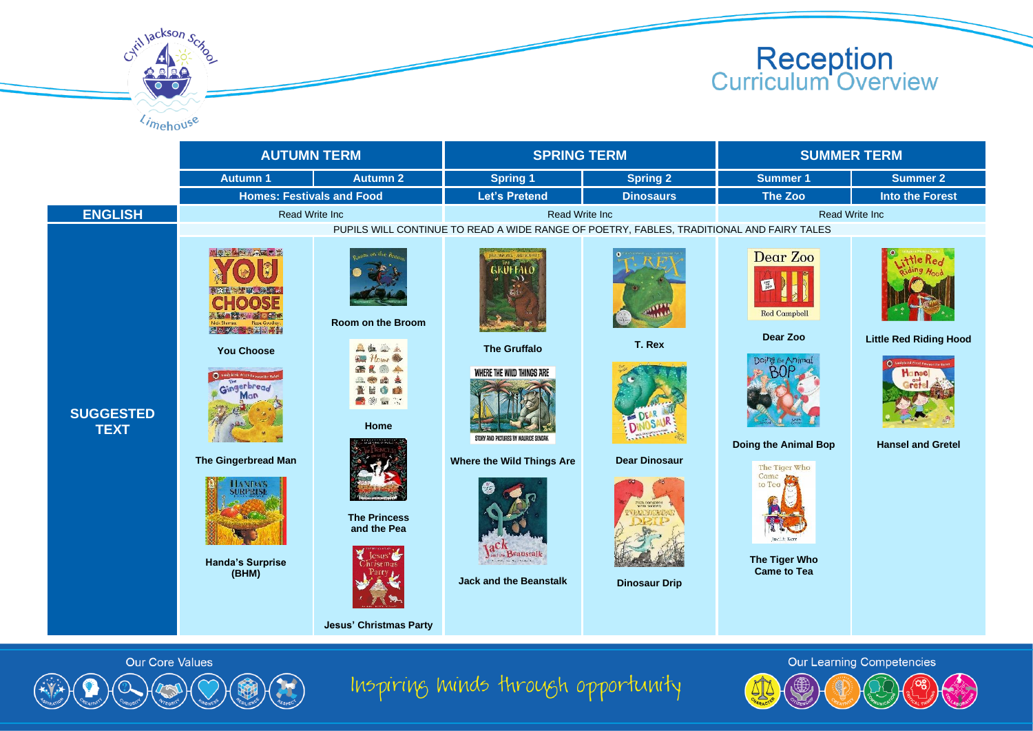



stillackson

**Our Core Values** 

**Jesus' Christmas Party**



**T. Rex**

**Dear Dinosaur**

**Dinosaur Drip**



**Dear Zoo**



## **Little Red Riding Hood**



## **Hansel and Gretel**





**Came to Tea**









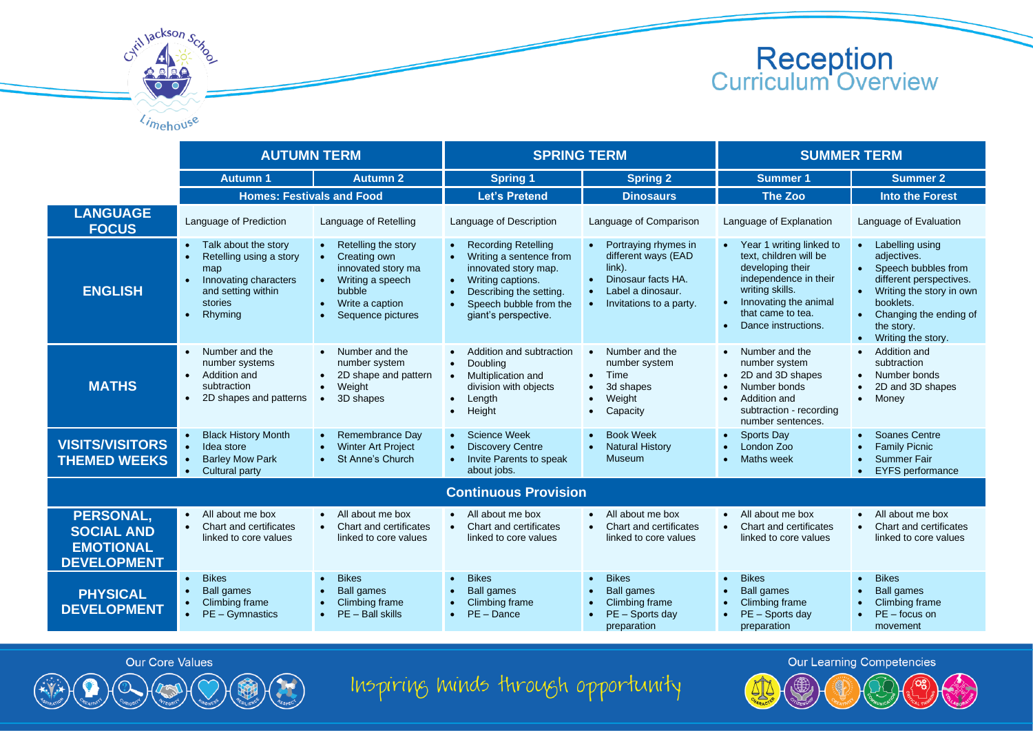

|                                                                          | <b>AUTUMN TERM</b>                                                                                                                                                 |                                                                                                                                     | <b>SPRING TERM</b>                                                                                                                                                                           |                                                                                                                                                          | <b>SUMMER TERM</b>                                                                                                                                                                                     |                                                                                                                                                                                                        |  |  |
|--------------------------------------------------------------------------|--------------------------------------------------------------------------------------------------------------------------------------------------------------------|-------------------------------------------------------------------------------------------------------------------------------------|----------------------------------------------------------------------------------------------------------------------------------------------------------------------------------------------|----------------------------------------------------------------------------------------------------------------------------------------------------------|--------------------------------------------------------------------------------------------------------------------------------------------------------------------------------------------------------|--------------------------------------------------------------------------------------------------------------------------------------------------------------------------------------------------------|--|--|
|                                                                          | <b>Autumn 1</b>                                                                                                                                                    | <b>Autumn 2</b>                                                                                                                     | <b>Spring 1</b>                                                                                                                                                                              | <b>Spring 2</b>                                                                                                                                          | <b>Summer 1</b>                                                                                                                                                                                        | <b>Summer 2</b>                                                                                                                                                                                        |  |  |
|                                                                          | <b>Homes: Festivals and Food</b>                                                                                                                                   |                                                                                                                                     | <b>Let's Pretend</b>                                                                                                                                                                         | <b>Dinosaurs</b>                                                                                                                                         | The Zoo                                                                                                                                                                                                | <b>Into the Forest</b>                                                                                                                                                                                 |  |  |
| <b>LANGUAGE</b><br><b>FOCUS</b>                                          | Language of Prediction                                                                                                                                             | Language of Retelling                                                                                                               | Language of Description                                                                                                                                                                      | Language of Comparison                                                                                                                                   | Language of Explanation                                                                                                                                                                                | Language of Evaluation                                                                                                                                                                                 |  |  |
| <b>ENGLISH</b>                                                           | Talk about the story<br>Retelling using a story<br>$\bullet$<br>map<br>Innovating characters<br>$\bullet$<br>and setting within<br>stories<br>Rhyming<br>$\bullet$ | • Retelling the story<br>Creating own<br>innovated story ma<br>• Writing a speech<br>bubble<br>Write a caption<br>Sequence pictures | <b>Recording Retelling</b><br>Writing a sentence from<br>innovated story map.<br>Writing captions.<br>$\bullet$<br>Describing the setting.<br>Speech bubble from the<br>giant's perspective. | Portraying rhymes in<br>$\bullet$<br>different ways (EAD<br>$link$ ).<br>Dinosaur facts HA.<br>$\bullet$<br>Label a dinosaur.<br>Invitations to a party. | • Year 1 writing linked to<br>text, children will be<br>developing their<br>independence in their<br>writing skills.<br>Innovating the animal<br>that came to tea.<br>Dance instructions.<br>$\bullet$ | Labelling using<br>adjectives.<br>• Speech bubbles from<br>different perspectives.<br>Writing the story in own<br>booklets.<br>Changing the ending of<br>the story.<br>Writing the story.<br>$\bullet$ |  |  |
| <b>MATHS</b>                                                             | Number and the<br>$\bullet$<br>number systems<br>Addition and<br>$\bullet$<br>subtraction<br>2D shapes and patterns<br>$\bullet$                                   | • Number and the<br>number system<br>2D shape and pattern<br>Weight<br>$\bullet$<br>3D shapes<br>$\bullet$                          | Addition and subtraction<br>Doubling<br>$\bullet$<br>Multiplication and<br>$\bullet$<br>division with objects<br>Length<br>$\bullet$<br>Height<br>$\bullet$                                  | Number and the<br>$\bullet$<br>number system<br>Time<br>$\bullet$<br>3d shapes<br>$\bullet$<br>Weight<br>$\bullet$<br>Capacity<br>$\bullet$              | • Number and the<br>number system<br>2D and 3D shapes<br>Number bonds<br>Addition and<br>subtraction - recording<br>number sentences.                                                                  | Addition and<br>subtraction<br>Number bonds<br>2D and 3D shapes<br>$\bullet$<br>Money<br>$\bullet$                                                                                                     |  |  |
| <b>VISITS/VISITORS</b><br><b>THEMED WEEKS</b>                            | <b>Black History Month</b><br>Idea store<br>$\bullet$<br><b>Barley Mow Park</b><br>$\bullet$<br>Cultural party<br>$\bullet$                                        | Remembrance Day<br><b>Winter Art Project</b><br>St Anne's Church<br>$\bullet$                                                       | Science Week<br><b>Discovery Centre</b><br>Invite Parents to speak<br>$\bullet$<br>about jobs.                                                                                               | <b>Book Week</b><br><b>Natural History</b><br><b>Museum</b>                                                                                              | <b>Sports Day</b><br>London Zoo<br>Maths week<br>$\bullet$                                                                                                                                             | <b>Soanes Centre</b><br><b>Family Picnic</b><br><b>Summer Fair</b><br>$\bullet$<br><b>EYFS</b> performance<br>$\bullet$                                                                                |  |  |
| <b>Continuous Provision</b>                                              |                                                                                                                                                                    |                                                                                                                                     |                                                                                                                                                                                              |                                                                                                                                                          |                                                                                                                                                                                                        |                                                                                                                                                                                                        |  |  |
| PERSONAL,<br><b>SOCIAL AND</b><br><b>EMOTIONAL</b><br><b>DEVELOPMENT</b> | All about me box<br>$\bullet$<br>Chart and certificates<br>linked to core values                                                                                   | • All about me box<br>Chart and certificates<br>linked to core values                                                               | • All about me box<br>Chart and certificates<br>$\bullet$<br>linked to core values                                                                                                           | All about me box<br>$\bullet$<br>Chart and certificates<br>linked to core values                                                                         | • All about me box<br>Chart and certificates<br>linked to core values                                                                                                                                  | All about me box<br>Chart and certificates<br>$\bullet$<br>linked to core values                                                                                                                       |  |  |
| <b>PHYSICAL</b><br><b>DEVELOPMENT</b>                                    | <b>Bikes</b><br>$\bullet$<br><b>Ball games</b><br>$\bullet$<br>Climbing frame<br>$\bullet$ PE - Gymnastics                                                         | <b>Bikes</b><br><b>Ball games</b><br>Climbing frame<br>$\bullet$ PE - Ball skills                                                   | <b>Bikes</b><br><b>Ball games</b><br>Climbing frame<br>PE - Dance<br>$\bullet$                                                                                                               | <b>Bikes</b><br>$\bullet$<br><b>Ball games</b><br>Climbing frame<br>PE - Sports day<br>preparation                                                       | <b>Bikes</b><br><b>Ball games</b><br>Climbing frame<br>PE - Sports day<br>preparation                                                                                                                  | <b>Bikes</b><br><b>Ball games</b><br>$\bullet$<br>Climbing frame<br>$PE$ – focus on<br>movement                                                                                                        |  |  |



Cytil Jackson Scr

 $\ell_{\text{in}}$ 

Inspiring minds through opportunity